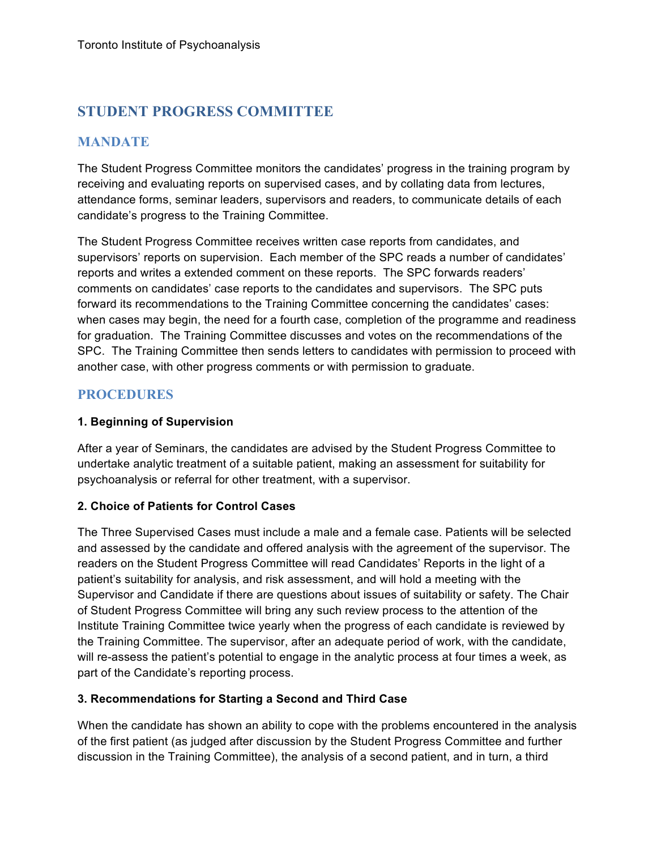# **STUDENT PROGRESS COMMITTEE**

# **MANDATE**

The Student Progress Committee monitors the candidates' progress in the training program by receiving and evaluating reports on supervised cases, and by collating data from lectures, attendance forms, seminar leaders, supervisors and readers, to communicate details of each candidate's progress to the Training Committee.

The Student Progress Committee receives written case reports from candidates, and supervisors' reports on supervision. Each member of the SPC reads a number of candidates' reports and writes a extended comment on these reports. The SPC forwards readers' comments on candidates' case reports to the candidates and supervisors. The SPC puts forward its recommendations to the Training Committee concerning the candidates' cases: when cases may begin, the need for a fourth case, completion of the programme and readiness for graduation. The Training Committee discusses and votes on the recommendations of the SPC. The Training Committee then sends letters to candidates with permission to proceed with another case, with other progress comments or with permission to graduate.

# **PROCEDURES**

#### **1. Beginning of Supervision**

After a year of Seminars, the candidates are advised by the Student Progress Committee to undertake analytic treatment of a suitable patient, making an assessment for suitability for psychoanalysis or referral for other treatment, with a supervisor.

#### **2. Choice of Patients for Control Cases**

The Three Supervised Cases must include a male and a female case. Patients will be selected and assessed by the candidate and offered analysis with the agreement of the supervisor. The readers on the Student Progress Committee will read Candidates' Reports in the light of a patient's suitability for analysis, and risk assessment, and will hold a meeting with the Supervisor and Candidate if there are questions about issues of suitability or safety. The Chair of Student Progress Committee will bring any such review process to the attention of the Institute Training Committee twice yearly when the progress of each candidate is reviewed by the Training Committee. The supervisor, after an adequate period of work, with the candidate, will re-assess the patient's potential to engage in the analytic process at four times a week, as part of the Candidate's reporting process.

#### **3. Recommendations for Starting a Second and Third Case**

When the candidate has shown an ability to cope with the problems encountered in the analysis of the first patient (as judged after discussion by the Student Progress Committee and further discussion in the Training Committee), the analysis of a second patient, and in turn, a third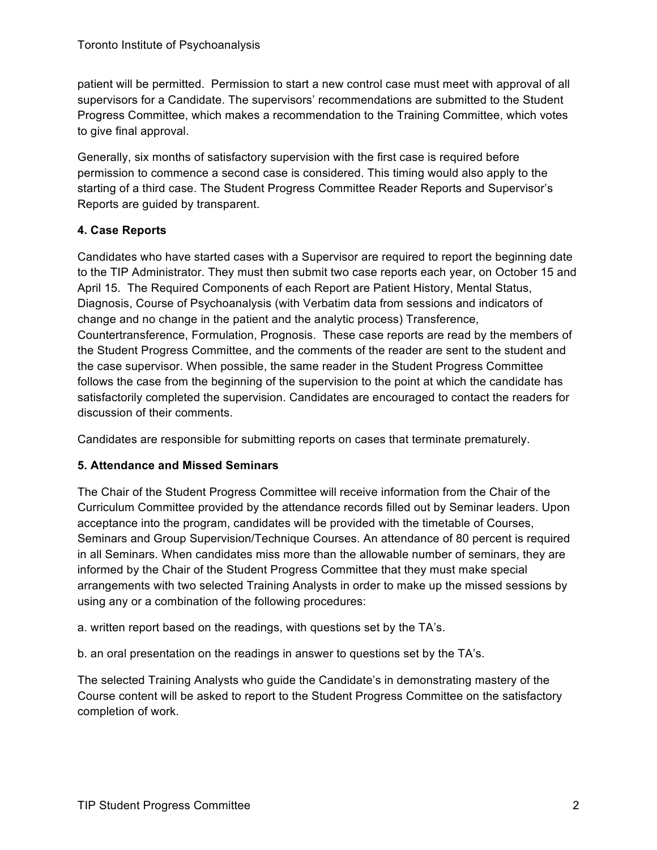patient will be permitted. Permission to start a new control case must meet with approval of all supervisors for a Candidate. The supervisors' recommendations are submitted to the Student Progress Committee, which makes a recommendation to the Training Committee, which votes to give final approval.

Generally, six months of satisfactory supervision with the first case is required before permission to commence a second case is considered. This timing would also apply to the starting of a third case. The Student Progress Committee Reader Reports and Supervisor's Reports are guided by transparent.

#### **4. Case Reports**

Candidates who have started cases with a Supervisor are required to report the beginning date to the TIP Administrator. They must then submit two case reports each year, on October 15 and April 15. The Required Components of each Report are Patient History, Mental Status, Diagnosis, Course of Psychoanalysis (with Verbatim data from sessions and indicators of change and no change in the patient and the analytic process) Transference, Countertransference, Formulation, Prognosis. These case reports are read by the members of the Student Progress Committee, and the comments of the reader are sent to the student and the case supervisor. When possible, the same reader in the Student Progress Committee follows the case from the beginning of the supervision to the point at which the candidate has satisfactorily completed the supervision. Candidates are encouraged to contact the readers for discussion of their comments.

Candidates are responsible for submitting reports on cases that terminate prematurely.

#### **5. Attendance and Missed Seminars**

The Chair of the Student Progress Committee will receive information from the Chair of the Curriculum Committee provided by the attendance records filled out by Seminar leaders. Upon acceptance into the program, candidates will be provided with the timetable of Courses, Seminars and Group Supervision/Technique Courses. An attendance of 80 percent is required in all Seminars. When candidates miss more than the allowable number of seminars, they are informed by the Chair of the Student Progress Committee that they must make special arrangements with two selected Training Analysts in order to make up the missed sessions by using any or a combination of the following procedures:

a. written report based on the readings, with questions set by the TA's.

b. an oral presentation on the readings in answer to questions set by the TA's.

The selected Training Analysts who guide the Candidate's in demonstrating mastery of the Course content will be asked to report to the Student Progress Committee on the satisfactory completion of work.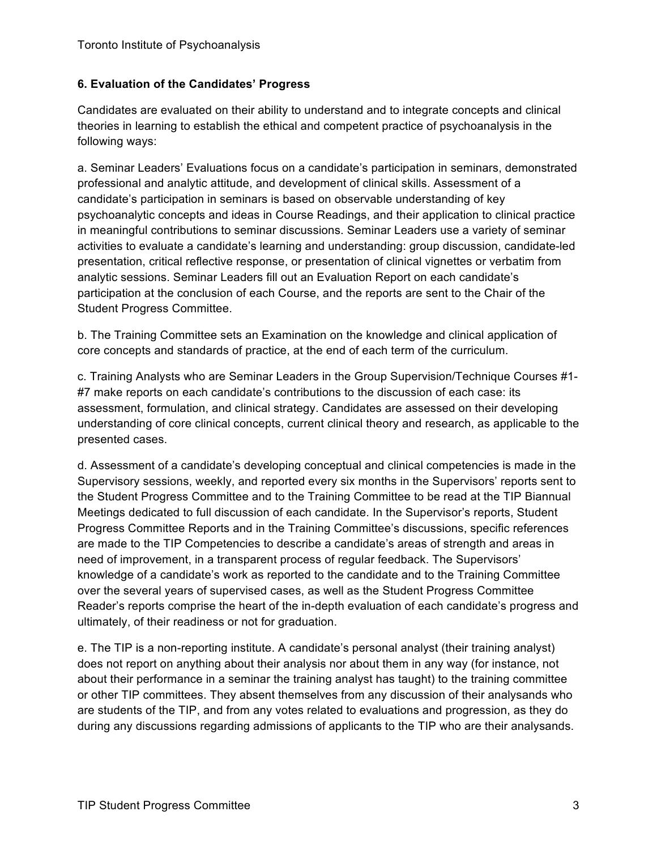#### **6. Evaluation of the Candidates' Progress**

Candidates are evaluated on their ability to understand and to integrate concepts and clinical theories in learning to establish the ethical and competent practice of psychoanalysis in the following ways:

a. Seminar Leaders' Evaluations focus on a candidate's participation in seminars, demonstrated professional and analytic attitude, and development of clinical skills. Assessment of a candidate's participation in seminars is based on observable understanding of key psychoanalytic concepts and ideas in Course Readings, and their application to clinical practice in meaningful contributions to seminar discussions. Seminar Leaders use a variety of seminar activities to evaluate a candidate's learning and understanding: group discussion, candidate-led presentation, critical reflective response, or presentation of clinical vignettes or verbatim from analytic sessions. Seminar Leaders fill out an Evaluation Report on each candidate's participation at the conclusion of each Course, and the reports are sent to the Chair of the Student Progress Committee.

b. The Training Committee sets an Examination on the knowledge and clinical application of core concepts and standards of practice, at the end of each term of the curriculum.

c. Training Analysts who are Seminar Leaders in the Group Supervision/Technique Courses #1- #7 make reports on each candidate's contributions to the discussion of each case: its assessment, formulation, and clinical strategy. Candidates are assessed on their developing understanding of core clinical concepts, current clinical theory and research, as applicable to the presented cases.

d. Assessment of a candidate's developing conceptual and clinical competencies is made in the Supervisory sessions, weekly, and reported every six months in the Supervisors' reports sent to the Student Progress Committee and to the Training Committee to be read at the TIP Biannual Meetings dedicated to full discussion of each candidate. In the Supervisor's reports, Student Progress Committee Reports and in the Training Committee's discussions, specific references are made to the TIP Competencies to describe a candidate's areas of strength and areas in need of improvement, in a transparent process of regular feedback. The Supervisors' knowledge of a candidate's work as reported to the candidate and to the Training Committee over the several years of supervised cases, as well as the Student Progress Committee Reader's reports comprise the heart of the in-depth evaluation of each candidate's progress and ultimately, of their readiness or not for graduation.

e. The TIP is a non-reporting institute. A candidate's personal analyst (their training analyst) does not report on anything about their analysis nor about them in any way (for instance, not about their performance in a seminar the training analyst has taught) to the training committee or other TIP committees. They absent themselves from any discussion of their analysands who are students of the TIP, and from any votes related to evaluations and progression, as they do during any discussions regarding admissions of applicants to the TIP who are their analysands.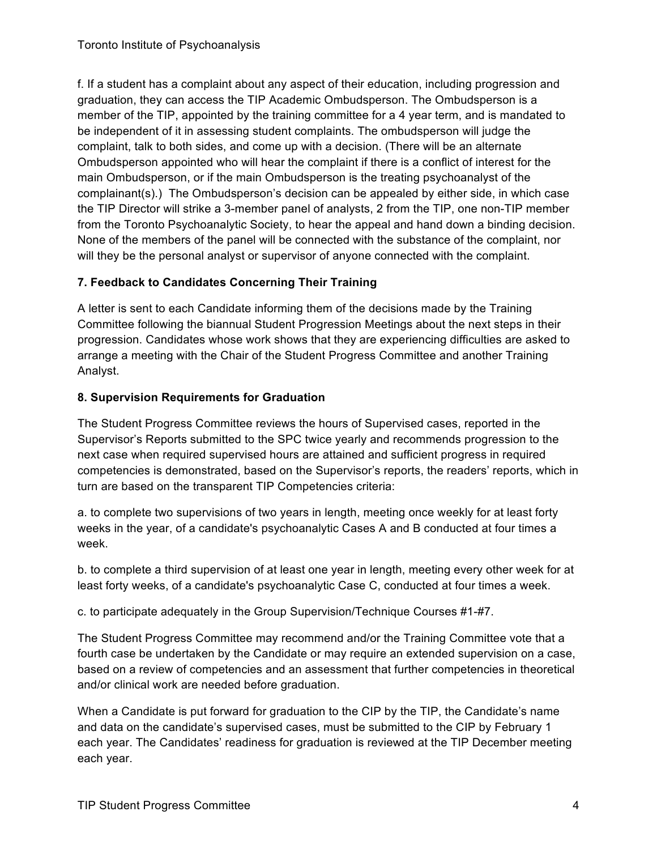f. If a student has a complaint about any aspect of their education, including progression and graduation, they can access the TIP Academic Ombudsperson. The Ombudsperson is a member of the TIP, appointed by the training committee for a 4 year term, and is mandated to be independent of it in assessing student complaints. The ombudsperson will judge the complaint, talk to both sides, and come up with a decision. (There will be an alternate Ombudsperson appointed who will hear the complaint if there is a conflict of interest for the main Ombudsperson, or if the main Ombudsperson is the treating psychoanalyst of the complainant(s).) The Ombudsperson's decision can be appealed by either side, in which case the TIP Director will strike a 3-member panel of analysts, 2 from the TIP, one non-TIP member from the Toronto Psychoanalytic Society, to hear the appeal and hand down a binding decision. None of the members of the panel will be connected with the substance of the complaint, nor will they be the personal analyst or supervisor of anyone connected with the complaint.

# **7. Feedback to Candidates Concerning Their Training**

A letter is sent to each Candidate informing them of the decisions made by the Training Committee following the biannual Student Progression Meetings about the next steps in their progression. Candidates whose work shows that they are experiencing difficulties are asked to arrange a meeting with the Chair of the Student Progress Committee and another Training Analyst.

# **8. Supervision Requirements for Graduation**

The Student Progress Committee reviews the hours of Supervised cases, reported in the Supervisor's Reports submitted to the SPC twice yearly and recommends progression to the next case when required supervised hours are attained and sufficient progress in required competencies is demonstrated, based on the Supervisor's reports, the readers' reports, which in turn are based on the transparent TIP Competencies criteria:

a. to complete two supervisions of two years in length, meeting once weekly for at least forty weeks in the year, of a candidate's psychoanalytic Cases A and B conducted at four times a week.

b. to complete a third supervision of at least one year in length, meeting every other week for at least forty weeks, of a candidate's psychoanalytic Case C, conducted at four times a week.

c. to participate adequately in the Group Supervision/Technique Courses #1-#7.

The Student Progress Committee may recommend and/or the Training Committee vote that a fourth case be undertaken by the Candidate or may require an extended supervision on a case, based on a review of competencies and an assessment that further competencies in theoretical and/or clinical work are needed before graduation.

When a Candidate is put forward for graduation to the CIP by the TIP, the Candidate's name and data on the candidate's supervised cases, must be submitted to the CIP by February 1 each year. The Candidates' readiness for graduation is reviewed at the TIP December meeting each year.